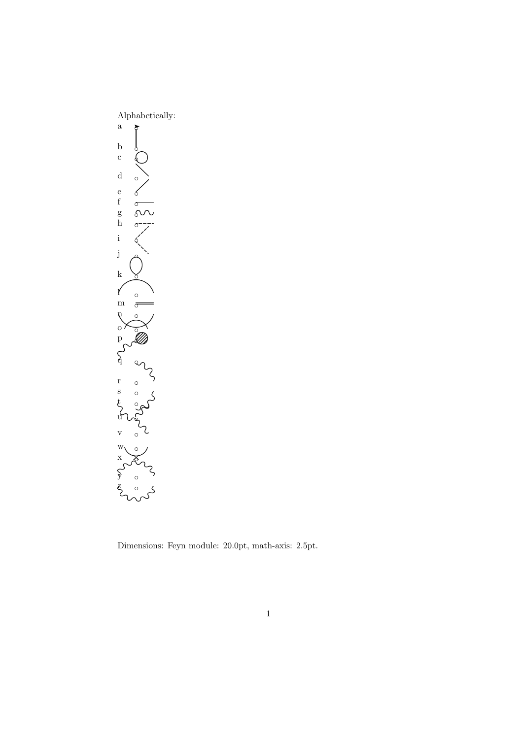

Dimensions: Feyn module: 20.0pt, math-axis: 2.5pt.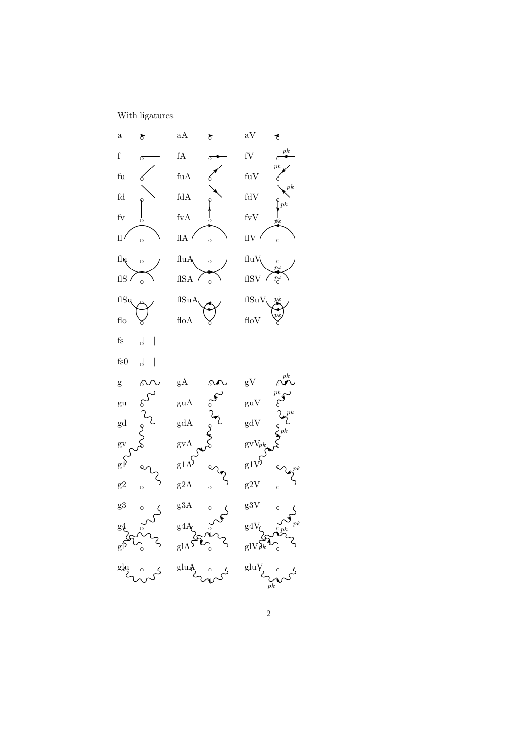With ligatures:

a ◦a aA ◦a aV ◦ <sup>f</sup> ◦<sup>f</sup> fA ◦<sup>F</sup> fV ◦pk fu ◦e fuA ◦E fuV ◦ pk fd ◦d fdA ◦D fdV ◦ pk fv ◦ b fvA ◦ B fvV ◦ pk fl ◦lflA ◦LflV ◦ pk flu ◦nfluA ◦NfluV ◦ pk flS ◦o flSA ◦O flSV ◦ pk flSu ◦w flSuA ◦W flSuV ◦ pk flo ◦k floA ◦K floV ◦ pk fs ◦|!| fs0 ◦|@| g ◦g gA ◦G gV ◦ pk gu ◦u guA ◦U guV ◦ pk gd ◦v gdA ◦V gdV ◦ pk gv ◦} gvA ◦] gvV ◦ pk g1 ◦q g1A ◦Q g1V ◦ pk g2 ◦r g2A ◦R g2V ◦ pk g3 ◦s g3A ◦S g3V ◦ pk g4 ◦t g4A ◦T g4V ◦ pk gl ◦yglA ◦YglV ◦pk glu ◦zgluA ◦ZgluV ◦ pk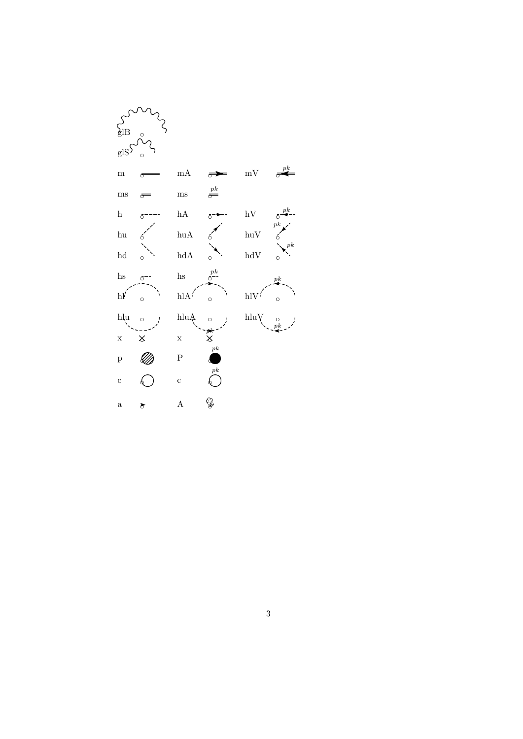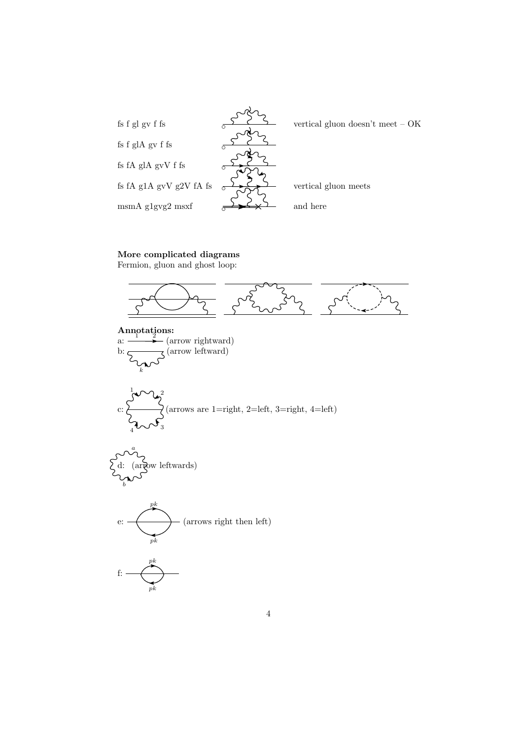

## More complicated diagrams

Fermion, gluon and ghost loop:

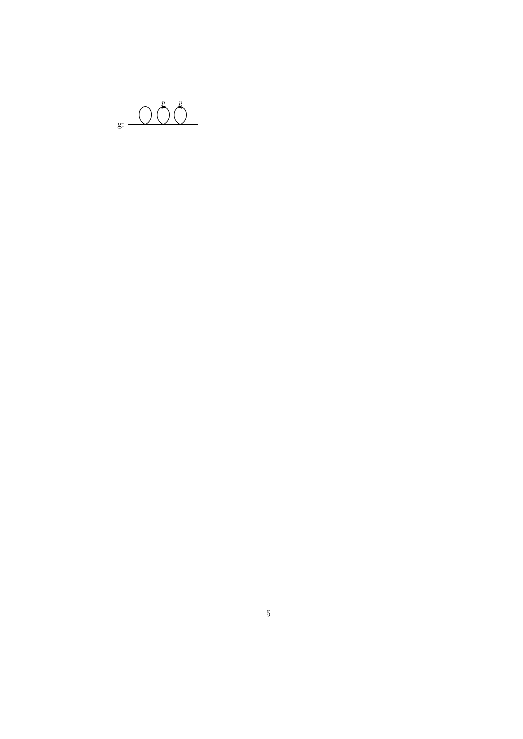$\begin{picture}(20,50)(-20,0) \put(0,0){\vector(1,0){10}} \put(15,0){\vector(1,0){10}} \put(15,0){\vector(1,0){10}} \put(15,0){\vector(1,0){10}} \put(15,0){\vector(1,0){10}} \put(15,0){\vector(1,0){10}} \put(15,0){\vector(1,0){10}} \put(15,0){\vector(1,0){10}} \put(15,0){\vector(1,0){10}} \put(15,0){\vector(1,0){10}} \put(15,0){\vector(1,0){10}} \put(15,$